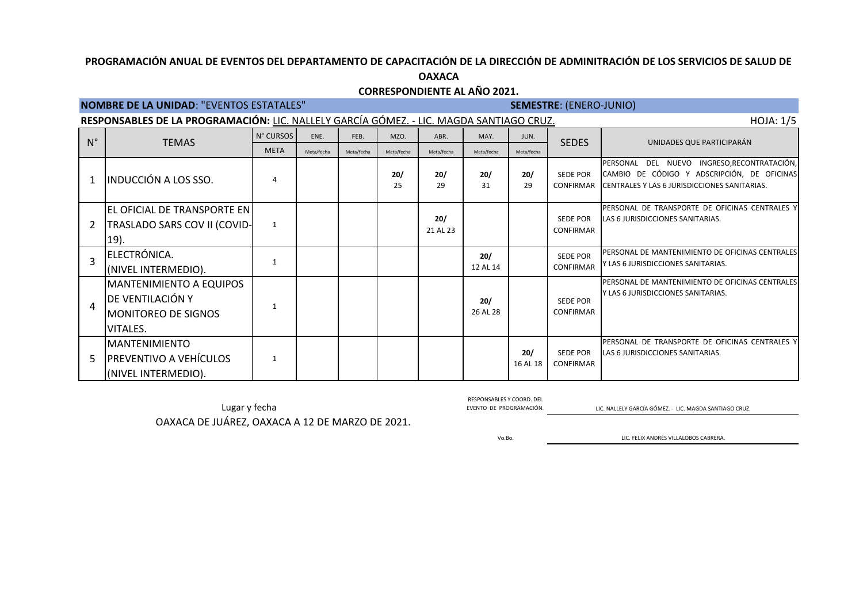### **CORRESPONDIENTE AL AÑO 2021.**

# **NOMBRE DE LA UNIDAD**: "EVENTOS ESTATALES" **SEMESTRE**: (ENERO-JUNIO)

| HOJA: 1/5<br>RESPONSABLES DE LA PROGRAMACIÓN: LIC. NALLELY GARCÍA GÓMEZ. - LIC. MAGDA SANTIAGO CRUZ. |                                                                                       |              |            |            |            |                 |                 |                 |                                     |                                                                                                                                                         |  |  |
|------------------------------------------------------------------------------------------------------|---------------------------------------------------------------------------------------|--------------|------------|------------|------------|-----------------|-----------------|-----------------|-------------------------------------|---------------------------------------------------------------------------------------------------------------------------------------------------------|--|--|
| $N^{\circ}$                                                                                          | <b>TEMAS</b>                                                                          | N° CURSOS    | ENE.       | FEB.       | MZO.       | ABR.            | MAY.            | JUN.            | <b>SEDES</b>                        | UNIDADES QUE PARTICIPARÁN                                                                                                                               |  |  |
|                                                                                                      |                                                                                       | <b>META</b>  | Meta/fecha | Meta/fecha | Meta/fecha | Meta/fecha      | Meta/fecha      | Meta/fecha      |                                     |                                                                                                                                                         |  |  |
|                                                                                                      | <b>INDUCCIÓN A LOS SSO.</b>                                                           | 4            |            |            | 20/<br>25  | 20/<br>29       | 20/<br>31       | 20/<br>29       | SEDE POR                            | DEL NUEVO INGRESO, RECONTRATACIÓN,<br>PERSONAL<br>CAMBIO DE CÓDIGO Y ADSCRIPCIÓN, DE OFICINAS<br>CONFIRMAR CENTRALES Y LAS 6 JURISDICCIONES SANITARIAS. |  |  |
|                                                                                                      | EL OFICIAL DE TRANSPORTE EN<br>TRASLADO SARS COV II (COVID-<br>19).                   | $\mathbf{1}$ |            |            |            | 20/<br>21 AL 23 |                 |                 | <b>SEDE POR</b><br><b>CONFIRMAR</b> | PERSONAL DE TRANSPORTE DE OFICINAS CENTRALES Y<br>LAS 6 JURISDICCIONES SANITARIAS.                                                                      |  |  |
|                                                                                                      | ELECTRÓNICA.<br>(NIVEL INTERMEDIO).                                                   | $\mathbf{1}$ |            |            |            |                 | 20/<br>12 AL 14 |                 | <b>SEDE POR</b><br><b>CONFIRMAR</b> | PERSONAL DE MANTENIMIENTO DE OFICINAS CENTRALES<br>Y LAS 6 JURISDICCIONES SANITARIAS.                                                                   |  |  |
| 4                                                                                                    | <b>MANTENIMIENTO A EQUIPOS</b><br>DE VENTILACIÓN Y<br>MONITOREO DE SIGNOS<br>VITALES. | 1            |            |            |            |                 | 20/<br>26 AL 28 |                 | SEDE POR<br><b>CONFIRMAR</b>        | <b>PERSONAL DE MANTENIMIENTO DE OFICINAS CENTRALES</b><br>IY LAS 6 JURISDICCIONES SANITARIAS.                                                           |  |  |
| 5                                                                                                    | <b>MANTENIMIENTO</b><br><b>PREVENTIVO A VEHÍCULOS</b><br>(NIVEL INTERMEDIO).          | 1            |            |            |            |                 |                 | 20/<br>16 AL 18 | <b>SEDE POR</b><br><b>CONFIRMAR</b> | PERSONAL DE TRANSPORTE DE OFICINAS CENTRALES Y<br>LAS 6 JURISDICCIONES SANITARIAS.                                                                      |  |  |

Lugar y fecha EVENTO DE PROGRAMACIÓN. EN ENGLADO DE PROGRAMACIÓN. LIC. NALLELY GARCÍA GÓMEZ. - LIC. MAGDA SANTIAGO CRUZ. OAXACA DE JUÁREZ, OAXACA A 12 DE MARZO DE 2021.

RESPONSABLES Y COORD. DEL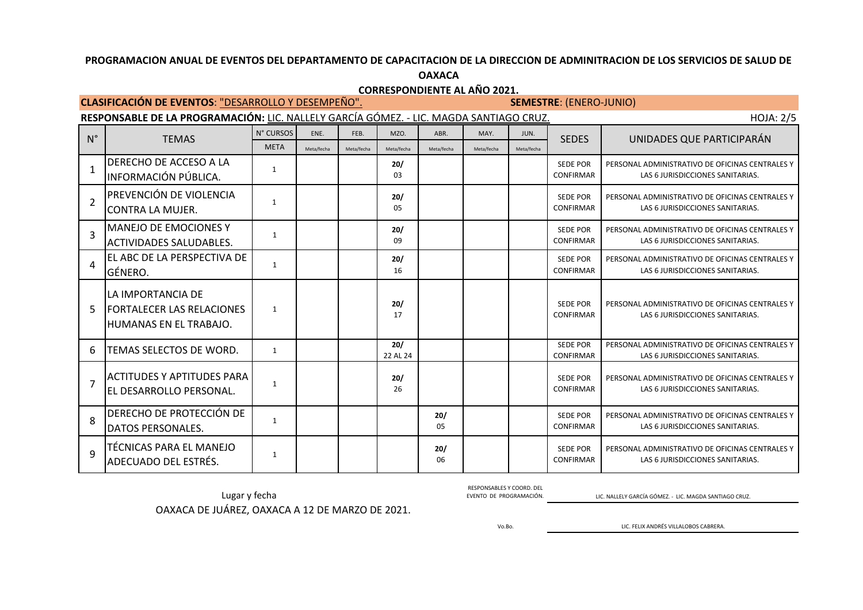### **OAXACA**

**CORRESPONDIENTE AL AÑO 2021.**

**CLASIFICACIÓN DE EVENTOS: "DESARROLLO Y DESEMPEÑO".** 

RESPONSABLE DE LA PROGRAMACIÓN: LIC. NALLELY GARCÍA GÓMEZ. - LIC. MAGDA SANTIAGO CRUZ. HOJA: 2/5

| $N^{\circ}$    | <b>TEMAS</b>                                                                     | N° CURSOS    | ENE.       | FEB.       | MZO.            | ABR.       | MAY.       | JUN.       | <b>SEDES</b>                        | UNIDADES QUE PARTICIPARÁN                                                           |
|----------------|----------------------------------------------------------------------------------|--------------|------------|------------|-----------------|------------|------------|------------|-------------------------------------|-------------------------------------------------------------------------------------|
|                |                                                                                  | <b>META</b>  | Meta/fecha | Meta/fecha | Meta/fecha      | Meta/fecha | Meta/fecha | Meta/fecha |                                     |                                                                                     |
|                | DERECHO DE ACCESO A LA<br>INFORMACIÓN PÚBLICA.                                   | $\mathbf{1}$ |            |            | 20/<br>03       |            |            |            | <b>SEDE POR</b><br><b>CONFIRMAR</b> | PERSONAL ADMINISTRATIVO DE OFICINAS CENTRALES Y<br>LAS 6 JURISDICCIONES SANITARIAS. |
| $\overline{2}$ | PREVENCIÓN DE VIOLENCIA<br>ICONTRA LA MUJER.                                     | 1            |            |            | 20/<br>05       |            |            |            | <b>SEDE POR</b><br>CONFIRMAR        | PERSONAL ADMINISTRATIVO DE OFICINAS CENTRALES Y<br>LAS 6 JURISDICCIONES SANITARIAS. |
| $\overline{3}$ | MANEJO DE EMOCIONES Y<br>ACTIVIDADES SALUDABLES.                                 | 1            |            |            | 20/<br>09       |            |            |            | <b>SEDE POR</b><br>CONFIRMAR        | PERSONAL ADMINISTRATIVO DE OFICINAS CENTRALES Y<br>LAS 6 JURISDICCIONES SANITARIAS. |
| 4              | EL ABC DE LA PERSPECTIVA DE<br>IGÉNERO.                                          | $\mathbf{1}$ |            |            | 20/<br>16       |            |            |            | <b>SEDE POR</b><br><b>CONFIRMAR</b> | PERSONAL ADMINISTRATIVO DE OFICINAS CENTRALES Y<br>LAS 6 JURISDICCIONES SANITARIAS. |
| 5              | LA IMPORTANCIA DE<br><b>FORTALECER LAS RELACIONES</b><br>IHUMANAS EN EL TRABAJO. | $\mathbf{1}$ |            |            | 20/<br>17       |            |            |            | <b>SEDE POR</b><br>CONFIRMAR        | PERSONAL ADMINISTRATIVO DE OFICINAS CENTRALES Y<br>LAS 6 JURISDICCIONES SANITARIAS. |
| 6              | TEMAS SELECTOS DE WORD.                                                          | 1            |            |            | 20/<br>22 AL 24 |            |            |            | <b>SEDE POR</b><br>CONFIRMAR        | PERSONAL ADMINISTRATIVO DE OFICINAS CENTRALES Y<br>LAS 6 JURISDICCIONES SANITARIAS. |
| $\overline{7}$ | <b>ACTITUDES Y APTITUDES PARA</b><br>IEL DESARROLLO PERSONAL.                    | $\mathbf{1}$ |            |            | 20/<br>26       |            |            |            | <b>SEDE POR</b><br><b>CONFIRMAR</b> | PERSONAL ADMINISTRATIVO DE OFICINAS CENTRALES Y<br>LAS 6 JURISDICCIONES SANITARIAS. |
| $\mathbf{8}$   | DERECHO DE PROTECCIÓN DE<br> DATOS PERSONALES.                                   | $\mathbf{1}$ |            |            |                 | 20/<br>05  |            |            | <b>SEDE POR</b><br><b>CONFIRMAR</b> | PERSONAL ADMINISTRATIVO DE OFICINAS CENTRALES Y<br>LAS 6 JURISDICCIONES SANITARIAS. |
| q              | TÉCNICAS PARA EL MANEJO<br>lADECUADO DEL ESTRÉS.                                 | 1            |            |            |                 | 20/<br>06  |            |            | <b>SEDE POR</b><br><b>CONFIRMAR</b> | PERSONAL ADMINISTRATIVO DE OFICINAS CENTRALES Y<br>LAS 6 JURISDICCIONES SANITARIAS. |

Lugar y fecha EVENTO DE PROGRAMACIÓN. LIC. NALLELY GARCÍA GÓMEZ. - LIC. MAGDA SANTIAGO CRUZ. OAXACA DE JUÁREZ, OAXACA A 12 DE MARZO DE 2021.

RESPONSABLES Y COORD. DEL<br>EVENTO DE PROGRAMACIÓN.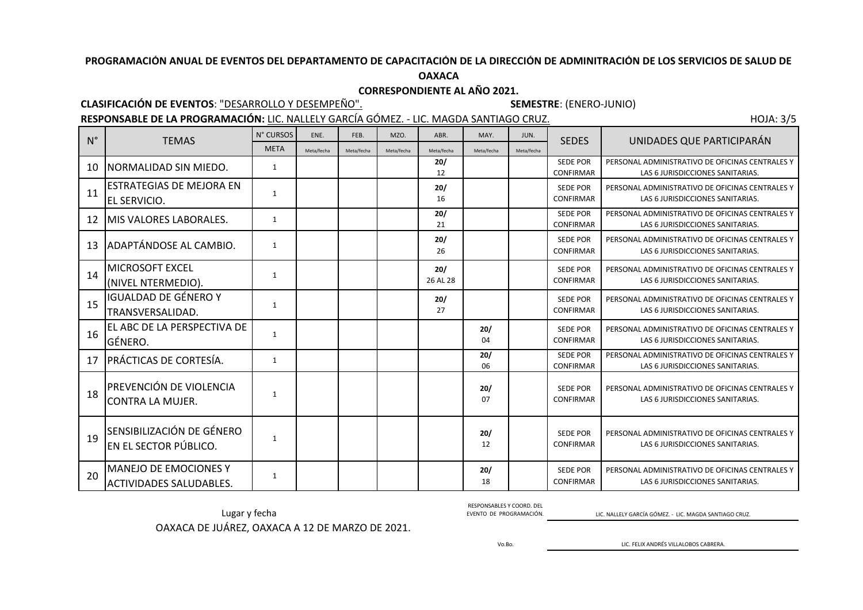## **OAXACA**

## **CORRESPONDIENTE AL AÑO 2021.**

## **CLASIFICACIÓN DE EVENTOS**: "DESARROLLO Y DESEMPEÑO". **SEMESTRE**: (ENERO-JUNIO)

RESPONSABLE DE LA PROGRAMACIÓN: LIC. NALLELY GARCÍA GÓMEZ. - LIC. MAGDA SANTIAGO CRUZ.

| <b>HOJA: 3/5</b> |  |
|------------------|--|
|                  |  |
|                  |  |

| $N^{\circ}$ | <b>TEMAS</b>                                             | N° CURSOS    | ENE.       | FEB.       | MZO.       | ABR.            | MAY.       | JUN.       | <b>SEDES</b>                        | UNIDADES QUE PARTICIPARÁN                                                           |
|-------------|----------------------------------------------------------|--------------|------------|------------|------------|-----------------|------------|------------|-------------------------------------|-------------------------------------------------------------------------------------|
|             |                                                          | <b>META</b>  | Meta/fecha | Meta/fecha | Meta/fecha | Meta/fecha      | Meta/fecha | Meta/fecha |                                     |                                                                                     |
| 10          | INORMALIDAD SIN MIEDO.                                   | 1            |            |            |            | 20/<br>12       |            |            | <b>SEDE POR</b><br><b>CONFIRMAR</b> | PERSONAL ADMINISTRATIVO DE OFICINAS CENTRALES Y<br>LAS 6 JURISDICCIONES SANITARIAS. |
| 11          | <b>ESTRATEGIAS DE MEJORA EN</b><br>EL SERVICIO.          | $\mathbf{1}$ |            |            |            | 20/<br>16       |            |            | <b>SEDE POR</b><br><b>CONFIRMAR</b> | PERSONAL ADMINISTRATIVO DE OFICINAS CENTRALES Y<br>LAS 6 JURISDICCIONES SANITARIAS. |
| 12          | MIS VALORES LABORALES.                                   | 1            |            |            |            | 20/<br>21       |            |            | <b>SEDE POR</b><br><b>CONFIRMAR</b> | PERSONAL ADMINISTRATIVO DE OFICINAS CENTRALES Y<br>LAS 6 JURISDICCIONES SANITARIAS. |
| 13          | ADAPTÁNDOSE AL CAMBIO.                                   | 1            |            |            |            | 20/<br>26       |            |            | <b>SEDE POR</b><br>CONFIRMAR        | PERSONAL ADMINISTRATIVO DE OFICINAS CENTRALES Y<br>LAS 6 JURISDICCIONES SANITARIAS. |
| 14          | MICROSOFT EXCEL<br>(NIVEL NTERMEDIO).                    | $\mathbf{1}$ |            |            |            | 20/<br>26 AL 28 |            |            | <b>SEDE POR</b><br><b>CONFIRMAR</b> | PERSONAL ADMINISTRATIVO DE OFICINAS CENTRALES Y<br>LAS 6 JURISDICCIONES SANITARIAS. |
| 15          | IGUALDAD DE GÉNERO Y<br>TRANSVERSALIDAD.                 | $\mathbf{1}$ |            |            |            | 20/<br>27       |            |            | <b>SEDE POR</b><br><b>CONFIRMAR</b> | PERSONAL ADMINISTRATIVO DE OFICINAS CENTRALES Y<br>LAS 6 JURISDICCIONES SANITARIAS. |
| 16          | EL ABC DE LA PERSPECTIVA DE<br>GÉNERO.                   | $\mathbf{1}$ |            |            |            |                 | 20/<br>04  |            | <b>SEDE POR</b><br><b>CONFIRMAR</b> | PERSONAL ADMINISTRATIVO DE OFICINAS CENTRALES Y<br>LAS 6 JURISDICCIONES SANITARIAS. |
| 17          | PRÁCTICAS DE CORTESÍA.                                   | $\mathbf{1}$ |            |            |            |                 | 20/<br>06  |            | <b>SEDE POR</b><br><b>CONFIRMAR</b> | PERSONAL ADMINISTRATIVO DE OFICINAS CENTRALES Y<br>LAS 6 JURISDICCIONES SANITARIAS. |
| 18          | PREVENCIÓN DE VIOLENCIA<br>CONTRA LA MUJER.              | 1            |            |            |            |                 | 20/<br>07  |            | <b>SEDE POR</b><br><b>CONFIRMAR</b> | PERSONAL ADMINISTRATIVO DE OFICINAS CENTRALES Y<br>LAS 6 JURISDICCIONES SANITARIAS. |
| 19          | SENSIBILIZACIÓN DE GÉNERO<br>EN EL SECTOR PÚBLICO.       | 1            |            |            |            |                 | 20/<br>12  |            | <b>SEDE POR</b><br><b>CONFIRMAR</b> | PERSONAL ADMINISTRATIVO DE OFICINAS CENTRALES Y<br>LAS 6 JURISDICCIONES SANITARIAS. |
| 20          | <b>MANEJO DE EMOCIONES Y</b><br> ACTIVIDADES SALUDABLES. | 1            |            |            |            |                 | 20/<br>18  |            | <b>SEDE POR</b><br><b>CONFIRMAR</b> | PERSONAL ADMINISTRATIVO DE OFICINAS CENTRALES Y<br>LAS 6 JURISDICCIONES SANITARIAS. |

Lugar y fecha EVENTO DE PROGRAMACIÓN. LIC. NALLELY GARCÍA GÓMEZ. - LIC. MAGDA SANTIAGO CRUZ. OAXACA DE JUÁREZ, OAXACA A 12 DE MARZO DE 2021.

RESPONSABLES Y COORD. DEL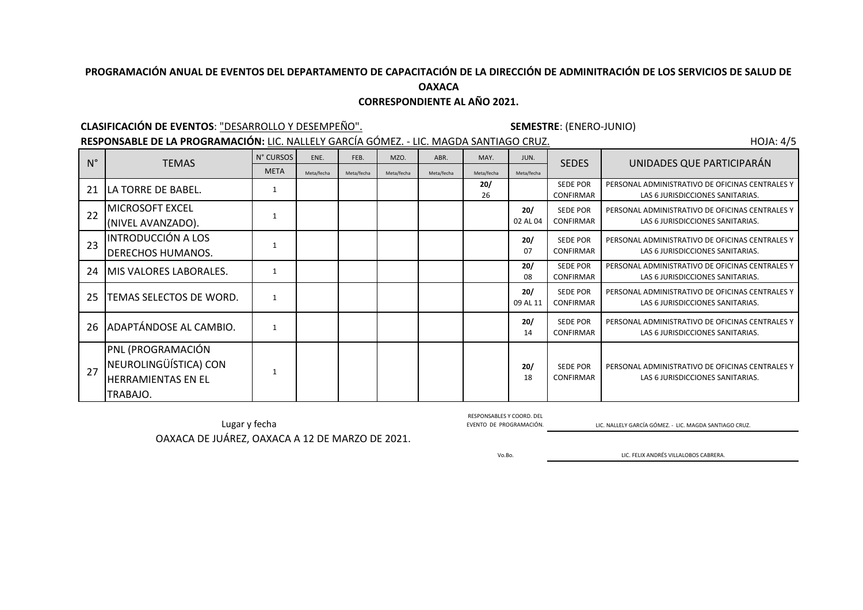## **CORRESPONDIENTE AL AÑO 2021.**

N° CURSOS ENE. FEB. MZO. ABR. MAY. JUN.

### **CLASIFICACIÓN DE EVENTOS**: "DESARROLLO Y DESEMPEÑO". **SEMESTRE**: (ENERO-JUNIO)

22

23

27

RESPONSABLE DE LA PROGRAMACIÓN: LIC. NALLELY GARCÍA GÓMEZ. - LIC. MAGDA SANTIAGO CRUZ. **HOJA: 4/5** HOJA: 4/5

META Meta/fecha Meta/fecha Meta/fecha Meta/fecha Meta/fecha Meta/fecha 21  $\lfloor$  LA TORRE DE BABEL.  $\lfloor$  1 **20/** 26 SEDE POR CONFIRMAR PERSONAL ADMINISTRATIVO DE OFICINAS CENTRALES Y LAS 6 JURISDICCIONES SANITARIAS. MICROSOFT EXCEL (NIVEL AVANZADO). 1 **20/** 02 AL 04 SEDE POR CONFIRMAR PERSONAL ADMINISTRATIVO DE OFICINAS CENTRALES Y LAS 6 JURISDICCIONES SANITARIAS. INTRODUCCIÓN A LOS DERECHOS HUMANOS. 1 **20/** 07 SEDE POR CONFIRMAR PERSONAL ADMINISTRATIVO DE OFICINAS CENTRALES Y LAS 6 JURISDICCIONES SANITARIAS. 24 MIS VALORES LABORALES. 1 **20/** 08 SEDE POR CONFIRMAR PERSONAL ADMINISTRATIVO DE OFICINAS CENTRALES Y LAS 6 JURISDICCIONES SANITARIAS. 25 TEMAS SELECTOS DE WORD. | 1 **20/** 09 AL 11 SEDE POR CONFIRMAR PERSONAL ADMINISTRATIVO DE OFICINAS CENTRALES Y LAS 6 JURISDICCIONES SANITARIAS. 26 ADAPTÁNDOSE AL CAMBIO. | 1 **20/** 14 SEDE POR CONFIRMAR PERSONAL ADMINISTRATIVO DE OFICINAS CENTRALES Y LAS 6 JURISDICCIONES SANITARIAS. PNL (PROGRAMACIÓN NEUROLINGÜÍSTICA) CON HERRAMIENTAS EN EL TRABAJO. 1 **20/** 18 SEDE POR CONFIRMAR PERSONAL ADMINISTRATIVO DE OFICINAS CENTRALES Y LAS 6 JURISDICCIONES SANITARIAS. N° TEMAS N° CURSOS ENE. FEB. MZO. ABR. MAY. JUN. SEDES UNIDADES QUE PARTICIPARÁN

OAXACA DE JUÁREZ, OAXACA A 12 DE MARZO DE 2021. Lugar y fecha **EVENTO DE PROGRAMACIÓN.** EVENTO DE PROGRAMACIÓN. LIC. NALLELY GARCÍA GÓMEZ. - LIC. MAGDA SANTIAGO CRUZ.

RESPONSABLES Y COORD. DEL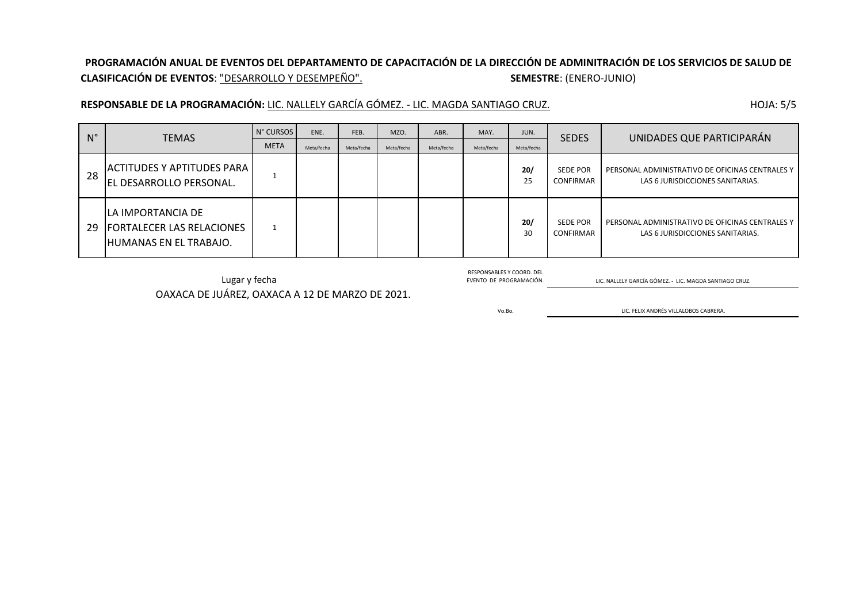## **PROGRAMACIÓN ANUAL DE EVENTOS DEL DEPARTAMENTO DE CAPACITACIÓN DE LA DIRECCIÓN DE ADMINITRACIÓN DE LOS SERVICIOS DE SALUD DE CLASIFICACIÓN DE EVENTOS**: "DESARROLLO Y DESEMPEÑO". **SEMESTRE**: (ENERO-JUNIO)

RESPONSABLE DE LA PROGRAMACIÓN: LIC. NALLELY GARCÍA GÓMEZ. - LIC. MAGDA SANTIAGO CRUZ.

| <b>HOJA: 5/5</b> |  |
|------------------|--|
|------------------|--|

| $N^{\circ}$ | <b>TEMAS</b>                                                                       | N° CURSOS   | ENE.       | FEB.       | MZO.       | ABR.       | MAY.       | JUN.       | <b>SEDES</b>                        | UNIDADES QUE PARTICIPARÁN                                                           |
|-------------|------------------------------------------------------------------------------------|-------------|------------|------------|------------|------------|------------|------------|-------------------------------------|-------------------------------------------------------------------------------------|
|             |                                                                                    | <b>META</b> | Meta/fecha | Meta/fecha | Meta/fecha | Meta/fecha | Meta/fecha | Meta/fecha |                                     |                                                                                     |
| 28          | ACTITUDES Y APTITUDES PARA<br>EL DESARROLLO PERSONAL.                              |             |            |            |            |            |            | 20/<br>25  | <b>SEDE POR</b><br><b>CONFIRMAR</b> | PERSONAL ADMINISTRATIVO DE OFICINAS CENTRALES Y<br>LAS 6 JURISDICCIONES SANITARIAS. |
| 29          | ILA IMPORTANCIA DE<br><b>IFORTALECER LAS RELACIONES</b><br>IHUMANAS EN EL TRABAJO. |             |            |            |            |            |            | 20/<br>30  | <b>SEDE POR</b><br><b>CONFIRMAR</b> | PERSONAL ADMINISTRATIVO DE OFICINAS CENTRALES Y<br>LAS 6 JURISDICCIONES SANITARIAS. |

OAXACA DE JUÁREZ, OAXACA A 12 DE MARZO DE 2021. Lugar y fecha EVENTO DE PROGRAMACIÓN. ELLENDON DE PROGRAMACIÓN. LE EN ENCLUSO DE PROGRAMACIÓN. LIC. NALLELY GARCÍA GÓMEZ. - LIC. MAGDA SANTIAGO CRUZ.

RESPONSABLES Y COORD. DEL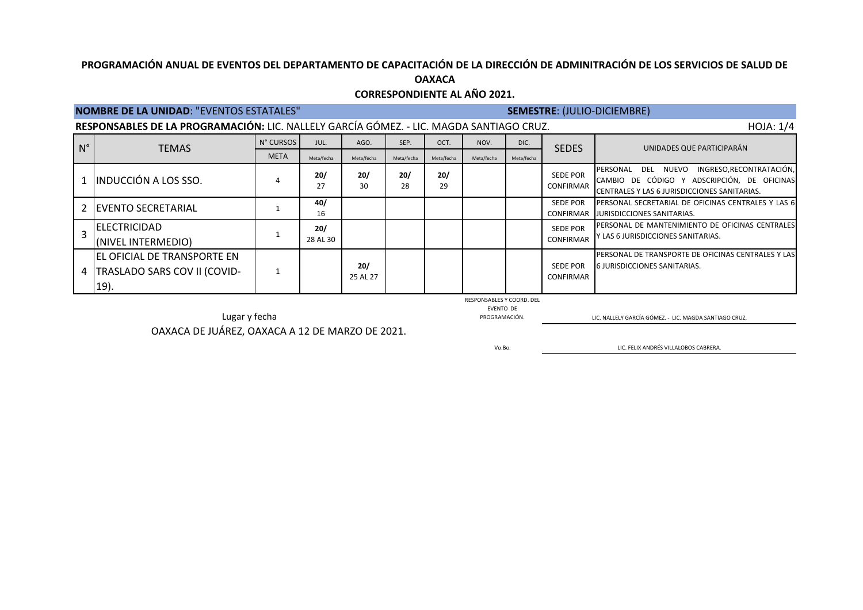## **OAXACA CORRESPONDIENTE AL AÑO 2021.**

## **NOMBRE DE LA UNIDAD**: "EVENTOS ESTATALES" **SEMESTRE**: (JULIO-DICIEMBRE)

|                    | RESPONSABLES DE LA PROGRAMACIÓN: LIC. NALLELY GARCÍA GÓMEZ. - LIC. MAGDA SANTIAGO CRUZ. | HOJA: 1/4   |                 |                 |            |            |            |            |                                     |                                                                                                                                                          |
|--------------------|-----------------------------------------------------------------------------------------|-------------|-----------------|-----------------|------------|------------|------------|------------|-------------------------------------|----------------------------------------------------------------------------------------------------------------------------------------------------------|
| $\mathsf{N}^\circ$ | <b>TEMAS</b>                                                                            | N° CURSOS   | JUL.            | AGO.            | SEP.       | OCT.       | NOV.       | DIC.       | <b>SEDES</b>                        | UNIDADES QUE PARTICIPARÁN                                                                                                                                |
|                    |                                                                                         | <b>META</b> | Meta/fecha      | Meta/fecha      | Meta/fecha | Meta/fecha | Meta/fecha | Meta/fecha |                                     |                                                                                                                                                          |
|                    | L INDUCCIÓN A LOS SSO.                                                                  |             | 20/<br>27       | 20/<br>30       | 20/<br>28  | 20/<br>29  |            |            | <b>SEDE POR</b><br><b>CONFIRMAR</b> | INGRESO, RECONTRATACIÓN,<br>DEL NUEVO<br><b>IPERSONAL</b><br>CAMBIO DE CÓDIGO Y ADSCRIPCIÓN, DE OFICINAS<br>CENTRALES Y LAS 6 JURISDICCIONES SANITARIAS. |
|                    | 2 EVENTO SECRETARIAL                                                                    |             | 40/<br>16       |                 |            |            |            |            | <b>SEDE POR</b>                     | PERSONAL SECRETARIAL DE OFICINAS CENTRALES Y LAS 6<br>CONFIRMAR JURISDICCIONES SANITARIAS.                                                               |
|                    | <b>IELECTRICIDAD</b><br>(NIVEL INTERMEDIO)                                              |             | 20/<br>28 AL 30 |                 |            |            |            |            | <b>SEDE POR</b><br>CONFIRMAR        | PERSONAL DE MANTENIMIENTO DE OFICINAS CENTRALES<br>Y LAS 6 JURISDICCIONES SANITARIAS.                                                                    |
|                    | <b>EL OFICIAL DE TRANSPORTE EN</b><br>4   TRASLADO SARS COV II (COVID-<br>19).          |             |                 | 20/<br>25 AL 27 |            |            |            |            | <b>SEDE POR</b><br><b>CONFIRMAR</b> | <b>IPERSONAL DE TRANSPORTE DE OFICINAS CENTRALES Y LAS</b><br><b>6 JURISDICCIONES SANITARIAS.</b>                                                        |

RESPONSABLES Y COORD. DEL

EVENTO DE<br>PROGRAMACIÓN.

LUL ENTRE DE L'UNTO DE L'UNTO DE L'UNTO DE L'UNTO DE L'UNTO DE L'UNTO DE L'UNTO DE L'UNTO DE L'UNTO DE L'UNTO DE L'UNTO DE L'UNTO DE L'UNTO DE L'UNTO DE L'UNTO DE L'UNTO DE L'UNTO DE L'UNTO DE L'UNTO DE L'UNTO DE L'UNTO DE

OAXACA DE JUÁREZ, OAXACA A 12 DE MARZO DE 2021.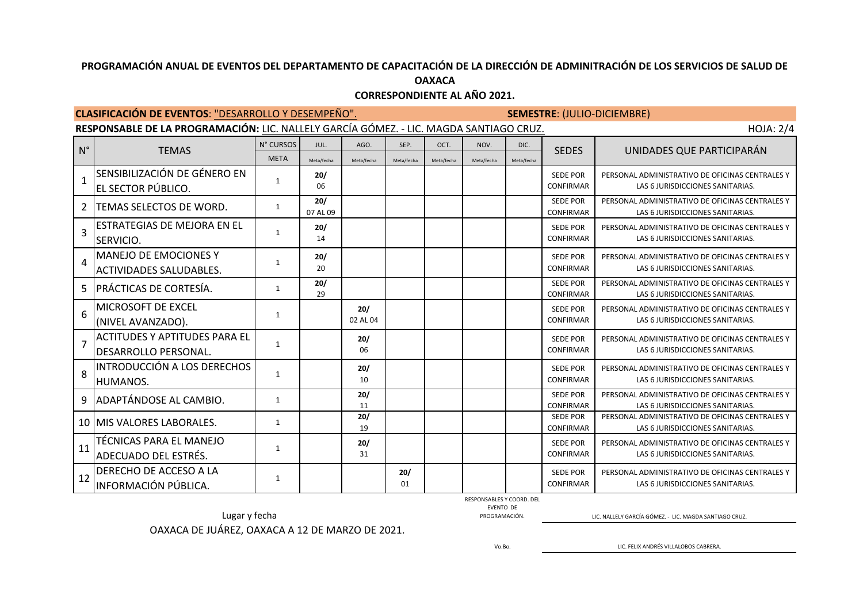|                | <b>CLASIFICACIÓN DE EVENTOS: "DESARROLLO Y DESEMPEÑO".</b><br><b>SEMESTRE: (JULIO-DICIEMBRE)</b>           |              |                 |                 |            |            |            |            |                                     |                                                                                     |  |  |  |  |
|----------------|------------------------------------------------------------------------------------------------------------|--------------|-----------------|-----------------|------------|------------|------------|------------|-------------------------------------|-------------------------------------------------------------------------------------|--|--|--|--|
|                | RESPONSABLE DE LA PROGRAMACIÓN: LIC. NALLELY GARCÍA GÓMEZ. - LIC. MAGDA SANTIAGO CRUZ.<br><b>HOJA: 2/4</b> |              |                 |                 |            |            |            |            |                                     |                                                                                     |  |  |  |  |
| $N^{\circ}$    |                                                                                                            | N° CURSOS    | JUL.            | AGO.            | SEP.       | OCT.       | NOV.       | DIC.       |                                     |                                                                                     |  |  |  |  |
|                | <b>TEMAS</b>                                                                                               | <b>META</b>  | Meta/fecha      | Meta/fecha      | Meta/fecha | Meta/fecha | Meta/fecha | Meta/fecha | <b>SEDES</b>                        | UNIDADES QUE PARTICIPARÁN                                                           |  |  |  |  |
| $\mathbf{1}$   | SENSIBILIZACIÓN DE GÉNERO EN<br>EL SECTOR PÚBLICO.                                                         | $\mathbf{1}$ | 20/<br>06       |                 |            |            |            |            | <b>SEDE POR</b><br><b>CONFIRMAR</b> | PERSONAL ADMINISTRATIVO DE OFICINAS CENTRALES Y<br>LAS 6 JURISDICCIONES SANITARIAS. |  |  |  |  |
| $\mathcal{P}$  | TEMAS SELECTOS DE WORD.                                                                                    | $\mathbf{1}$ | 20/<br>07 AL 09 |                 |            |            |            |            | <b>SEDE POR</b><br><b>CONFIRMAR</b> | PERSONAL ADMINISTRATIVO DE OFICINAS CENTRALES Y<br>LAS 6 JURISDICCIONES SANITARIAS. |  |  |  |  |
| $\overline{3}$ | ESTRATEGIAS DE MEJORA EN EL<br>SERVICIO.                                                                   | $\mathbf{1}$ | 20/<br>14       |                 |            |            |            |            | <b>SEDE POR</b><br><b>CONFIRMAR</b> | PERSONAL ADMINISTRATIVO DE OFICINAS CENTRALES Y<br>LAS 6 JURISDICCIONES SANITARIAS. |  |  |  |  |
| 4              | MANEJO DE EMOCIONES Y<br>ACTIVIDADES SALUDABLES.                                                           | $\mathbf{1}$ | 20/<br>20       |                 |            |            |            |            | <b>SEDE POR</b><br><b>CONFIRMAR</b> | PERSONAL ADMINISTRATIVO DE OFICINAS CENTRALES Y<br>LAS 6 JURISDICCIONES SANITARIAS. |  |  |  |  |
| 5              | PRÁCTICAS DE CORTESÍA.                                                                                     | $\mathbf{1}$ | 20/<br>29       |                 |            |            |            |            | <b>SEDE POR</b><br><b>CONFIRMAR</b> | PERSONAL ADMINISTRATIVO DE OFICINAS CENTRALES Y<br>LAS 6 JURISDICCIONES SANITARIAS. |  |  |  |  |
| 6              | MICROSOFT DE EXCEL<br>(NIVEL AVANZADO).                                                                    | 1            |                 | 20/<br>02 AL 04 |            |            |            |            | <b>SEDE POR</b><br><b>CONFIRMAR</b> | PERSONAL ADMINISTRATIVO DE OFICINAS CENTRALES Y<br>LAS 6 JURISDICCIONES SANITARIAS. |  |  |  |  |
| $\overline{7}$ | <b>ACTITUDES Y APTITUDES PARA EL</b><br>DESARROLLO PERSONAL.                                               | $\mathbf{1}$ |                 | 20/<br>06       |            |            |            |            | <b>SEDE POR</b><br><b>CONFIRMAR</b> | PERSONAL ADMINISTRATIVO DE OFICINAS CENTRALES Y<br>LAS 6 JURISDICCIONES SANITARIAS. |  |  |  |  |
| 8              | INTRODUCCIÓN A LOS DERECHOS<br>HUMANOS.                                                                    | $\mathbf{1}$ |                 | 20/<br>10       |            |            |            |            | <b>SEDE POR</b><br><b>CONFIRMAR</b> | PERSONAL ADMINISTRATIVO DE OFICINAS CENTRALES Y<br>LAS 6 JURISDICCIONES SANITARIAS. |  |  |  |  |
| 9              | ADAPTÁNDOSE AL CAMBIO.                                                                                     | $\mathbf{1}$ |                 | 20/<br>11       |            |            |            |            | <b>SEDE POR</b><br><b>CONFIRMAR</b> | PERSONAL ADMINISTRATIVO DE OFICINAS CENTRALES Y<br>LAS 6 JURISDICCIONES SANITARIAS. |  |  |  |  |
|                | 10   MIS VALORES LABORALES.                                                                                | 1            |                 | 20/<br>19       |            |            |            |            | <b>SEDE POR</b><br><b>CONFIRMAR</b> | PERSONAL ADMINISTRATIVO DE OFICINAS CENTRALES Y<br>LAS 6 JURISDICCIONES SANITARIAS. |  |  |  |  |
| 11             | TÉCNICAS PARA EL MANEJO<br>ADECUADO DEL ESTRÉS.                                                            | $\mathbf{1}$ |                 | 20/<br>31       |            |            |            |            | <b>SEDE POR</b><br><b>CONFIRMAR</b> | PERSONAL ADMINISTRATIVO DE OFICINAS CENTRALES Y<br>LAS 6 JURISDICCIONES SANITARIAS. |  |  |  |  |
| 12             | DERECHO DE ACCESO A LA<br>INFORMACIÓN PÚBLICA.                                                             | $\mathbf{1}$ |                 |                 | 20/<br>01  |            |            |            | <b>SEDE POR</b><br><b>CONFIRMAR</b> | PERSONAL ADMINISTRATIVO DE OFICINAS CENTRALES Y<br>LAS 6 JURISDICCIONES SANITARIAS. |  |  |  |  |

**CORRESPONDIENTE AL AÑO 2021.**

RESPONSABLES Y COORD. DEL EVENTO DE

LUENTO DE ENTRE DE EN ENTRE DE ENTRE DE ENTRE DE ENTRE DE EN ENCORAMACIÓN. LA ENFREGA GÓMEZ. EN EL COMAGDA SANTIAGO CRUZ.

OAXACA DE JUÁREZ, OAXACA A 12 DE MARZO DE 2021.

Vo.Bo.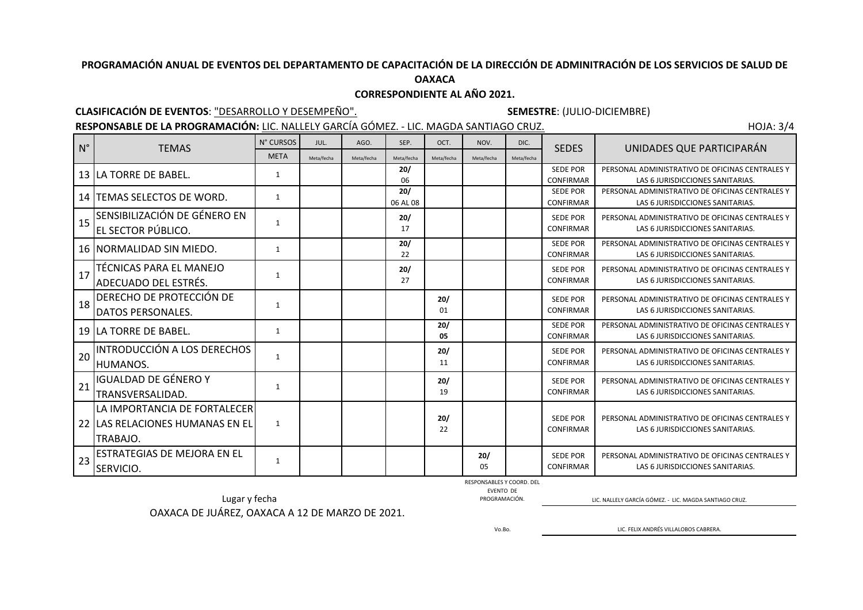**OAXACA**

## **CORRESPONDIENTE AL AÑO 2021.**

## **CLASIFICACIÓN DE EVENTOS**: "DESARROLLO Y DESEMPEÑO". **SEMESTRE**: (JULIO-DICIEMBRE)

RESPONSABLE DE LA PROGRAMACIÓN: LIC. NALLELY GARCÍA GÓMEZ. - LIC. MAGDA SANTIAGO CRUZ. HOJA: 3/4

| $N^{\circ}$ | <b>TEMAS</b>                    | N° CURSOS    | JUL.       | AGO.       | SEP.       | OCT.       | NOV.       | DIC.       | <b>SEDES</b>                        | UNIDADES QUE PARTICIPARÁN                                                           |
|-------------|---------------------------------|--------------|------------|------------|------------|------------|------------|------------|-------------------------------------|-------------------------------------------------------------------------------------|
|             |                                 | <b>META</b>  | Meta/fecha | Meta/fecha | Meta/fecha | Meta/fecha | Meta/fecha | Meta/fecha |                                     |                                                                                     |
|             | 13 LA TORRE DE BABEL.           | 1            |            |            | 20/        |            |            |            | <b>SEDE POR</b>                     | PERSONAL ADMINISTRATIVO DE OFICINAS CENTRALES Y                                     |
|             |                                 |              |            |            | 06<br>20/  |            |            |            | <b>CONFIRMAR</b><br><b>SEDE POR</b> | LAS 6 JURISDICCIONES SANITARIAS.<br>PERSONAL ADMINISTRATIVO DE OFICINAS CENTRALES Y |
| 14          | TEMAS SELECTOS DE WORD.         | $\mathbf{1}$ |            |            | 06 AL 08   |            |            |            | CONFIRMAR                           | LAS 6 JURISDICCIONES SANITARIAS.                                                    |
| 15          | SENSIBILIZACIÓN DE GÉNERO EN    |              |            |            | 20/        |            |            |            | <b>SEDE POR</b>                     | PERSONAL ADMINISTRATIVO DE OFICINAS CENTRALES Y                                     |
|             | EL SECTOR PÚBLICO.              | $\mathbf{1}$ |            |            | 17         |            |            |            | CONFIRMAR                           | LAS 6 JURISDICCIONES SANITARIAS.                                                    |
|             | 16 INORMALIDAD SIN MIEDO.       | 1            |            |            | 20/        |            |            |            | <b>SEDE POR</b>                     | PERSONAL ADMINISTRATIVO DE OFICINAS CENTRALES Y                                     |
|             |                                 |              |            |            | 22         |            |            |            | CONFIRMAR                           | LAS 6 JURISDICCIONES SANITARIAS.                                                    |
| 17          | TÉCNICAS PARA EL MANEJO         | 1            |            |            | 20/        |            |            |            | <b>SEDE POR</b>                     | PERSONAL ADMINISTRATIVO DE OFICINAS CENTRALES Y                                     |
|             | ADECUADO DEL ESTRÉS.            |              |            |            | 27         |            |            |            | CONFIRMAR                           | LAS 6 JURISDICCIONES SANITARIAS.                                                    |
|             | DERECHO DE PROTECCIÓN DE        |              |            |            |            | 20/        |            |            | <b>SEDE POR</b>                     | PERSONAL ADMINISTRATIVO DE OFICINAS CENTRALES Y                                     |
| 18          | DATOS PERSONALES.               | 1            |            |            |            | 01         |            |            | <b>CONFIRMAR</b>                    | LAS 6 JURISDICCIONES SANITARIAS.                                                    |
|             | 19 LA TORRE DE BABEL.           | 1            |            |            |            | 20/        |            |            | <b>SEDE POR</b>                     | PERSONAL ADMINISTRATIVO DE OFICINAS CENTRALES Y                                     |
|             |                                 |              |            |            |            | 05         |            |            | <b>CONFIRMAR</b>                    | LAS 6 JURISDICCIONES SANITARIAS.                                                    |
| 20          | INTRODUCCIÓN A LOS DERECHOS     | $\mathbf{1}$ |            |            |            | 20/        |            |            | <b>SEDE POR</b>                     | PERSONAL ADMINISTRATIVO DE OFICINAS CENTRALES Y                                     |
|             | HUMANOS.                        |              |            |            |            | 11         |            |            | CONFIRMAR                           | LAS 6 JURISDICCIONES SANITARIAS.                                                    |
|             | <b>IGUALDAD DE GÉNERO Y</b>     |              |            |            |            | 20/        |            |            | <b>SEDE POR</b>                     | PERSONAL ADMINISTRATIVO DE OFICINAS CENTRALES Y                                     |
| 21          | TRANSVERSALIDAD.                | 1            |            |            |            | 19         |            |            | CONFIRMAR                           | LAS 6 JURISDICCIONES SANITARIAS.                                                    |
|             | LA IMPORTANCIA DE FORTALECER    |              |            |            |            |            |            |            |                                     |                                                                                     |
|             | 22 LAS RELACIONES HUMANAS EN EL | $\mathbf{1}$ |            |            |            | 20/        |            |            | <b>SEDE POR</b>                     | PERSONAL ADMINISTRATIVO DE OFICINAS CENTRALES Y                                     |
|             | TRABAJO.                        |              |            |            |            | 22         |            |            | <b>CONFIRMAR</b>                    | LAS 6 JURISDICCIONES SANITARIAS.                                                    |
|             | ESTRATEGIAS DE MEJORA EN EL     |              |            |            |            |            | 20/        |            | <b>SEDE POR</b>                     | PERSONAL ADMINISTRATIVO DE OFICINAS CENTRALES Y                                     |
| 23          | <b>SERVICIO.</b>                | 1            |            |            |            |            | 05         |            | <b>CONFIRMAR</b>                    | LAS 6 JURISDICCIONES SANITARIAS.                                                    |
|             |                                 |              |            |            |            |            |            |            |                                     |                                                                                     |

RESPONSABLES Y COORD. DEL

EVENTO DE

Lugar y fecha <u>PROGRAMACIÓN. PROGRAMACIÓN.</u> PROGRAMACIÓN. PROGRAMACIÓN. LIC. NALLELY GARCÍA GÓMEZ. - LIC. MAGDA SANTIAGO CRUZ.

OAXACA DE JUÁREZ, OAXACA A 12 DE MARZO DE 2021.